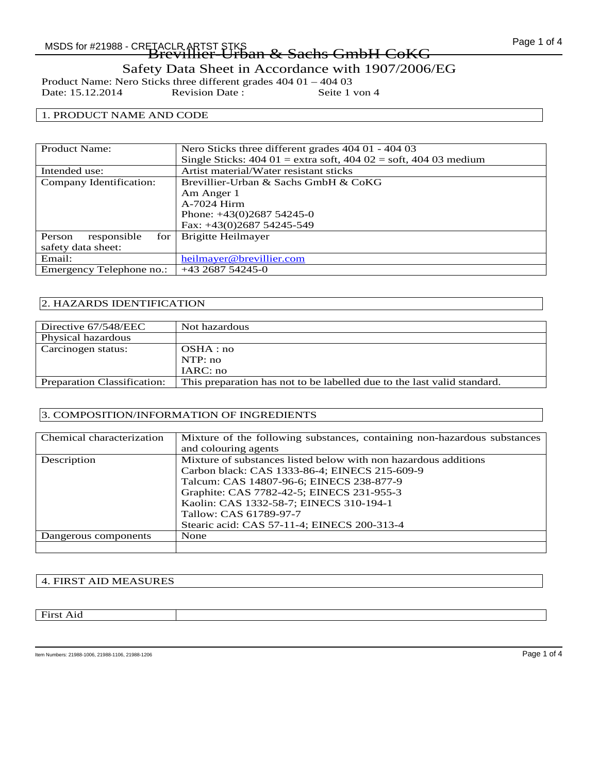Product Name: Nero Sticks three different grades 404 01 – 404 03<br>Date: 15.12.2014 Revision Date: Seite 1 von 4 Date: 15.12.2014

### 1. PRODUCT NAME AND CODE

| <b>Product Name:</b>         | Nero Sticks three different grades 404 01 - 404 03                                                |
|------------------------------|---------------------------------------------------------------------------------------------------|
|                              | Single Sticks: $404 \text{ } 01 =$ extra soft, $404 \text{ } 02 =$ soft, $404 \text{ } 03$ medium |
| Intended use:                | Artist material/Water resistant sticks                                                            |
| Company Identification:      | Brevillier-Urban & Sachs GmbH & CoKG                                                              |
|                              | Am Anger 1                                                                                        |
|                              | A-7024 Hirm                                                                                       |
|                              | Phone: $+43(0)268754245-0$                                                                        |
|                              | Fax: +43(0)2687 54245-549                                                                         |
| responsible<br>for<br>Person | Brigitte Heilmayer                                                                                |
| safety data sheet:           |                                                                                                   |
| Email:                       | heilmayer@brevillier.com                                                                          |
| Emergency Telephone no.:     | $+43268754245-0$                                                                                  |

### 2. HAZARDS IDENTIFICATION

| Directive 67/548/EEC               | Not hazardous                                                           |
|------------------------------------|-------------------------------------------------------------------------|
| Physical hazardous                 |                                                                         |
| Carcinogen status:                 | OSHA:no                                                                 |
|                                    | NTP:no                                                                  |
|                                    | IARC: no                                                                |
| <b>Preparation Classification:</b> | This preparation has not to be labelled due to the last valid standard. |
|                                    |                                                                         |

### 3. COMPOSITION/INFORMATION OF INGREDIENTS

| Chemical characterization | Mixture of the following substances, containing non-hazardous substances |
|---------------------------|--------------------------------------------------------------------------|
|                           | and colouring agents                                                     |
| Description               | Mixture of substances listed below with non hazardous additions          |
|                           | Carbon black: CAS 1333-86-4; EINECS 215-609-9                            |
|                           | Talcum: CAS 14807-96-6; EINECS 238-877-9                                 |
|                           | Graphite: CAS 7782-42-5; EINECS 231-955-3                                |
|                           | Kaolin: CAS 1332-58-7; EINECS 310-194-1                                  |
|                           | Tallow: CAS 61789-97-7                                                   |
|                           | Stearic acid: CAS 57-11-4; EINECS 200-313-4                              |
| Dangerous components      | None                                                                     |
|                           |                                                                          |

### 4. FIRST AID MEASURES

### First Aid

Item Numbers: 21988-1006, 21988-1106, 21988-1206 **Page 1 of 4**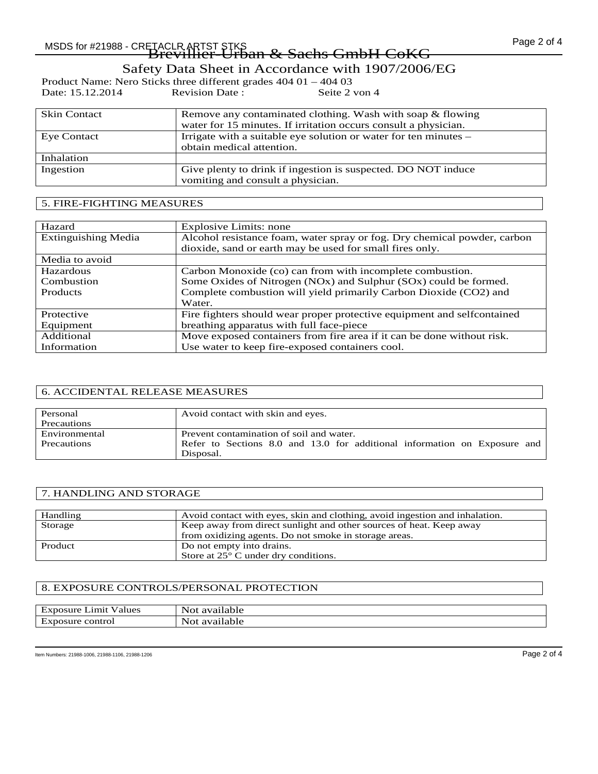# Page 2 of 4 MSDS for #21988 - CRETACLR ARTST STKS Brevillier-Urban & Sachs GmbH CoKG

## Safety Data Sheet in Accordance with 1907/2006/EG

|                  | Product Name: Nero Sticks three different grades $40401 - 40403$ |               |
|------------------|------------------------------------------------------------------|---------------|
| Date: 15.12.2014 | Revision Date:                                                   | Seite 2 von 4 |

| <b>Skin Contact</b> | Remove any contaminated clothing. Wash with soap & flowing<br>water for 15 minutes. If irritation occurs consult a physician. |
|---------------------|-------------------------------------------------------------------------------------------------------------------------------|
| <b>Eye Contact</b>  | Irrigate with a suitable eye solution or water for ten minutes –<br>obtain medical attention.                                 |
| Inhalation          |                                                                                                                               |
| Ingestion           | Give plenty to drink if ingestion is suspected. DO NOT induce<br>vomiting and consult a physician.                            |

## 5. FIRE-FIGHTING MEASURES

| Hazard                     | Explosive Limits: none                                                   |
|----------------------------|--------------------------------------------------------------------------|
| <b>Extinguishing Media</b> | Alcohol resistance foam, water spray or fog. Dry chemical powder, carbon |
|                            | dioxide, sand or earth may be used for small fires only.                 |
| Media to avoid             |                                                                          |
| Hazardous                  | Carbon Monoxide (co) can from with incomplete combustion.                |
| Combustion                 | Some Oxides of Nitrogen (NOx) and Sulphur (SOx) could be formed.         |
| <b>Products</b>            | Complete combustion will yield primarily Carbon Dioxide (CO2) and        |
|                            | Water.                                                                   |
| Protective                 | Fire fighters should wear proper protective equipment and selfcontained  |
| Equipment                  | breathing apparatus with full face-piece                                 |
| Additional                 | Move exposed containers from fire area if it can be done without risk.   |
| Information                | Use water to keep fire-exposed containers cool.                          |

### 6. ACCIDENTAL RELEASE MEASURES

| Personal      | Avoid contact with skin and eyes.                                                      |
|---------------|----------------------------------------------------------------------------------------|
| Precautions   |                                                                                        |
| Environmental | Prevent contamination of soil and water.                                               |
| Precautions   | Refer to Sections 8.0 and 13.0 for additional information on Exposure and<br>Disposal. |
|               |                                                                                        |

### 7. HANDLING AND STORAGE

| Handling | Avoid contact with eyes, skin and clothing, avoid in gestion and inhalation. |
|----------|------------------------------------------------------------------------------|
| Storage  | Keep away from direct sunlight and other sources of heat. Keep away          |
|          | from oxidizing agents. Do not smoke in storage areas.                        |
| Product  | Do not empty into drains.                                                    |
|          | Store at 25° C under dry conditions.                                         |

### 8. EXPOSURE CONTROLS/PERSONAL PROTECTION

| Limit<br>Values<br>Exposure          | . .<br>available<br>Not |
|--------------------------------------|-------------------------|
| control<br>$H \star$<br>posure<br>EХ | . .<br>available<br>NOt |

Item Numbers: 21988-1006, 21988-1106, 21988-1206 Page 2 of 4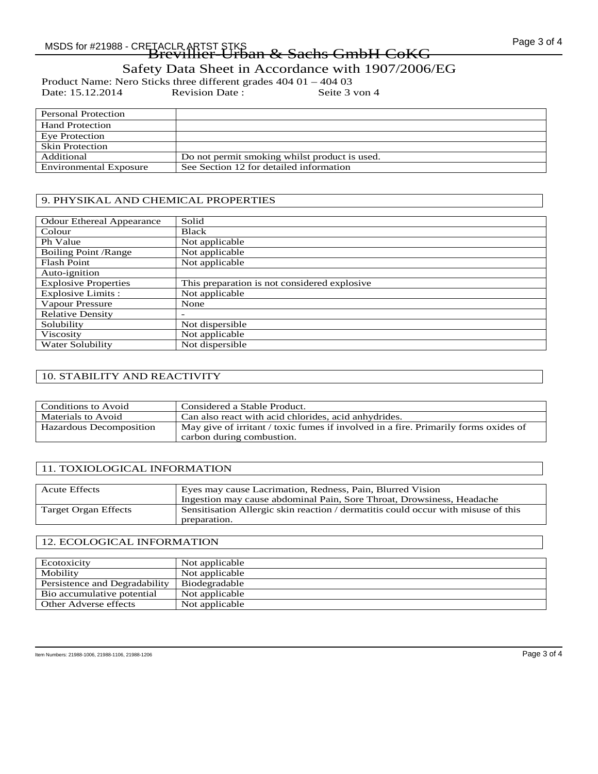## Page 3 of 4 MSDS for #21988 - CRETACLR ARTST STKS Brevillier-Urban & Sachs GmbH CoKG

Safety Data Sheet in Accordance with 1907/2006/EG

Product Name: Nero Sticks three different grades 404 01 – 404 03<br>Date: 15.12.2014 Revision Date: Seite 3 von 4 Date: 15.12.2014

| Personal Protection           |                                               |
|-------------------------------|-----------------------------------------------|
| <b>Hand Protection</b>        |                                               |
| Eye Protection                |                                               |
| <b>Skin Protection</b>        |                                               |
| Additional                    | Do not permit smoking whilst product is used. |
| <b>Environmental Exposure</b> | See Section 12 for detailed information       |

### 9. PHYSIKAL AND CHEMICAL PROPERTIES

| <b>Odour Ethereal Appearance</b> | Solid                                        |
|----------------------------------|----------------------------------------------|
| Colour                           | <b>Black</b>                                 |
| Ph Value                         | Not applicable                               |
| <b>Boiling Point /Range</b>      | Not applicable                               |
| <b>Flash Point</b>               | Not applicable                               |
| Auto-ignition                    |                                              |
| <b>Explosive Properties</b>      | This preparation is not considered explosive |
| <b>Explosive Limits:</b>         | Not applicable                               |
| Vapour Pressure                  | None                                         |
| <b>Relative Density</b>          |                                              |
| Solubility                       | Not dispersible                              |
| Viscosity                        | Not applicable                               |
| Water Solubility                 | Not dispersible                              |

### 10. STABILITY AND REACTIVITY

| Conditions to Avoid     | Considered a Stable Product.                                                                                     |
|-------------------------|------------------------------------------------------------------------------------------------------------------|
| Materials to Avoid      | Can also react with acid chlorides, acid anhydrides.                                                             |
| Hazardous Decomposition | May give of irritant / toxic fumes if involved in a fire. Primarily forms oxides of<br>carbon during combustion. |

### 11. TOXIOLOGICAL INFORMATION

| <b>Acute Effects</b>        | Eyes may cause Lacrimation, Redness, Pain, Blurred Vision                                         |
|-----------------------------|---------------------------------------------------------------------------------------------------|
|                             | Ingestion may cause abdominal Pain, Sore Throat, Drowsiness, Headache                             |
| <b>Target Organ Effects</b> | Sensitisation Allergic skin reaction / dermatitis could occur with misuse of this<br>preparation. |

### 12. ECOLOGICAL INFORMATION

| Ecotoxicity                   | Not applicable |
|-------------------------------|----------------|
| Mobility                      | Not applicable |
| Persistence and Degradability | Biodegradable  |
| Bio accumulative potential    | Not applicable |
| Other Adverse effects         | Not applicable |